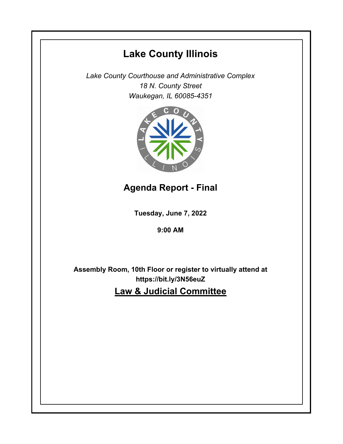# **Lake County Illinois**

*Lake County Courthouse and Administrative Complex 18 N. County Street Waukegan, IL 60085-4351*



**Agenda Report - Final**

**Tuesday, June 7, 2022**

**9:00 AM**

**Assembly Room, 10th Floor or register to virtually attend at https://bit.ly/3N56euZ**

**Law & Judicial Committee**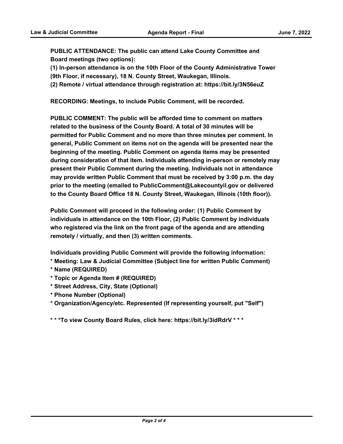**PUBLIC ATTENDANCE: The public can attend Lake County Committee and Board meetings (two options):** 

**(1) In-person attendance is on the 10th Floor of the County Administrative Tower** 

**(9th Floor, if necessary), 18 N. County Street, Waukegan, Illinois.**

**(2) Remote / virtual attendance through registration at: https://bit.ly/3N56euZ**

**RECORDING: Meetings, to include Public Comment, will be recorded.**

**PUBLIC COMMENT: The public will be afforded time to comment on matters related to the business of the County Board. A total of 30 minutes will be permitted for Public Comment and no more than three minutes per comment. In general, Public Comment on items not on the agenda will be presented near the beginning of the meeting. Public Comment on agenda items may be presented during consideration of that item. Individuals attending in-person or remotely may present their Public Comment during the meeting. Individuals not in attendance may provide written Public Comment that must be received by 3:00 p.m. the day prior to the meeting (emailed to PublicComment@Lakecountyil.gov or delivered to the County Board Office 18 N. County Street, Waukegan, Illinois (10th floor)).** 

**Public Comment will proceed in the following order: (1) Public Comment by individuals in attendance on the 10th Floor, (2) Public Comment by individuals who registered via the link on the front page of the agenda and are attending remotely / virtually, and then (3) written comments.** 

**Individuals providing Public Comment will provide the following information:**

- **\* Meeting: Law & Judicial Committee (Subject line for written Public Comment)**
- **\* Name (REQUIRED)**
- **\* Topic or Agenda Item # (REQUIRED)**
- **\* Street Address, City, State (Optional)**
- **\* Phone Number (Optional)**

**\* Organization/Agency/etc. Represented (If representing yourself, put "Self")**

**\* \* \*To view County Board Rules, click here: https://bit.ly/3idRdrV \* \* \***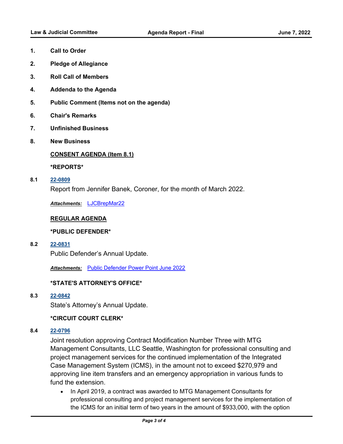- **1. Call to Order**
- **2. Pledge of Allegiance**
- **3. Roll Call of Members**
- **4. Addenda to the Agenda**
- **5. Public Comment (Items not on the agenda)**
- **6. Chair's Remarks**
- **7. Unfinished Business**
- **8. New Business**

## **CONSENT AGENDA (Item 8.1)**

**\*REPORTS\***

**8.1 [22-0809](http://lakecounty.legistar.com/gateway.aspx?m=l&id=/matter.aspx?key=26595)**

Report from Jennifer Banek, Coroner, for the month of March 2022.

*Attachments:* [LJCBrepMar22](http://lakecounty.legistar.com/gateway.aspx?M=F&ID=74dfb3f6-8e28-4252-b286-a3a16a0c5a0d.pdf)

## **REGULAR AGENDA**

## **\*PUBLIC DEFENDER\***

**8.2 [22-0831](http://lakecounty.legistar.com/gateway.aspx?m=l&id=/matter.aspx?key=26616)**

Public Defender's Annual Update.

*Attachments:* [Public Defender Power Point June 2022](http://lakecounty.legistar.com/gateway.aspx?M=F&ID=d90739ca-2e14-4a19-b359-50966e939d86.pdf)

# **\*STATE'S ATTORNEY'S OFFICE\***

**8.3 [22-0842](http://lakecounty.legistar.com/gateway.aspx?m=l&id=/matter.aspx?key=26629)**

State's Attorney's Annual Update.

## **\*CIRCUIT COURT CLERK\***

## **8.4 [22-0796](http://lakecounty.legistar.com/gateway.aspx?m=l&id=/matter.aspx?key=26582)**

Joint resolution approving Contract Modification Number Three with MTG Management Consultants, LLC Seattle, Washington for professional consulting and project management services for the continued implementation of the Integrated Case Management System (ICMS), in the amount not to exceed \$270,979 and approving line item transfers and an emergency appropriation in various funds to fund the extension.

· In April 2019, a contract was awarded to MTG Management Consultants for professional consulting and project management services for the implementation of the ICMS for an initial term of two years in the amount of \$933,000, with the option